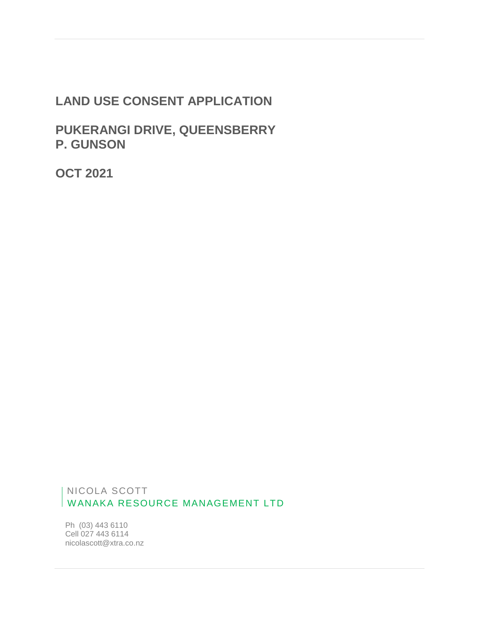# **LAND USE CONSENT APPLICATION**

**PUKERANGI DRIVE, QUEENSBERRY P. GUNSON**

**OCT 2021**

 NICOLA SCOTT WANAKA RESOURCE MANAGEMENT LTD

Ph (03) 443 6110 Cell 027 443 6114 nicolascott@xtra.co.nz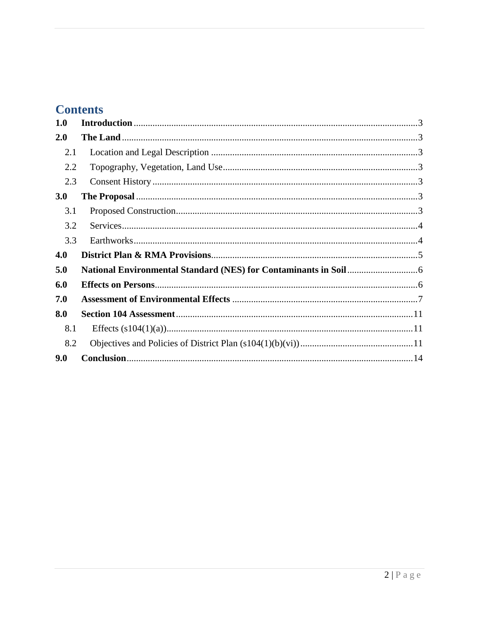# **Contents**

| 1.0 |  |
|-----|--|
| 2.0 |  |
| 2.1 |  |
| 2.2 |  |
| 2.3 |  |
| 3.0 |  |
| 3.1 |  |
| 3.2 |  |
| 3.3 |  |
| 4.0 |  |
| 5.0 |  |
| 6.0 |  |
| 7.0 |  |
| 8.0 |  |
| 8.1 |  |
| 8.2 |  |
| 9.0 |  |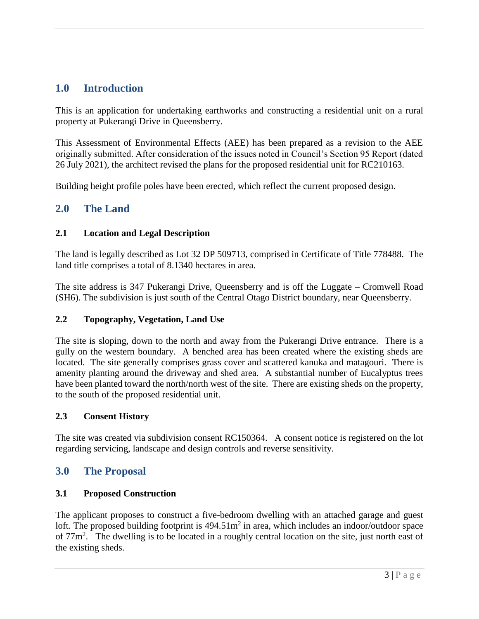# <span id="page-2-0"></span>**1.0 Introduction**

This is an application for undertaking earthworks and constructing a residential unit on a rural property at Pukerangi Drive in Queensberry.

This Assessment of Environmental Effects (AEE) has been prepared as a revision to the AEE originally submitted. After consideration of the issues noted in Council's Section 95 Report (dated 26 July 2021), the architect revised the plans for the proposed residential unit for RC210163.

Building height profile poles have been erected, which reflect the current proposed design.

# <span id="page-2-1"></span>**2.0 The Land**

### <span id="page-2-2"></span>**2.1 Location and Legal Description**

The land is legally described as Lot 32 DP 509713, comprised in Certificate of Title 778488. The land title comprises a total of 8.1340 hectares in area.

The site address is 347 Pukerangi Drive, Queensberry and is off the Luggate – Cromwell Road (SH6). The subdivision is just south of the Central Otago District boundary, near Queensberry.

### <span id="page-2-3"></span>**2.2 Topography, Vegetation, Land Use**

The site is sloping, down to the north and away from the Pukerangi Drive entrance. There is a gully on the western boundary. A benched area has been created where the existing sheds are located. The site generally comprises grass cover and scattered kanuka and matagouri. There is amenity planting around the driveway and shed area. A substantial number of Eucalyptus trees have been planted toward the north/north west of the site. There are existing sheds on the property, to the south of the proposed residential unit.

### <span id="page-2-4"></span>**2.3 Consent History**

The site was created via subdivision consent RC150364. A consent notice is registered on the lot regarding servicing, landscape and design controls and reverse sensitivity.

# <span id="page-2-5"></span>**3.0 The Proposal**

### <span id="page-2-6"></span>**3.1 Proposed Construction**

The applicant proposes to construct a five-bedroom dwelling with an attached garage and guest loft. The proposed building footprint is  $494.51m^2$  in area, which includes an indoor/outdoor space of  $77m^2$ . The dwelling is to be located in a roughly central location on the site, just north east of the existing sheds.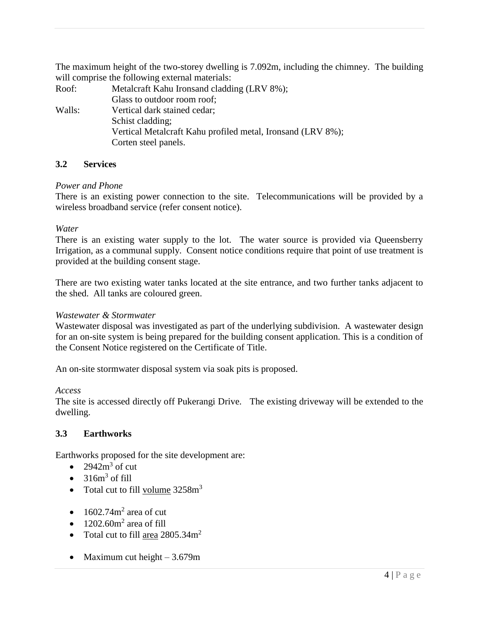The maximum height of the two-storey dwelling is 7.092m, including the chimney. The building will comprise the following external materials:

Roof: Metalcraft Kahu Ironsand cladding (LRV 8%); Glass to outdoor room roof; Walls: Vertical dark stained cedar; Schist cladding; Vertical Metalcraft Kahu profiled metal, Ironsand (LRV 8%); Corten steel panels.

### <span id="page-3-0"></span>**3.2 Services**

### *Power and Phone*

There is an existing power connection to the site. Telecommunications will be provided by a wireless broadband service (refer consent notice).

### *Water*

There is an existing water supply to the lot. The water source is provided via Queensberry Irrigation, as a communal supply. Consent notice conditions require that point of use treatment is provided at the building consent stage.

There are two existing water tanks located at the site entrance, and two further tanks adjacent to the shed. All tanks are coloured green.

### *Wastewater & Stormwater*

Wastewater disposal was investigated as part of the underlying subdivision. A wastewater design for an on-site system is being prepared for the building consent application. This is a condition of the Consent Notice registered on the Certificate of Title.

An on-site stormwater disposal system via soak pits is proposed.

### *Access*

The site is accessed directly off Pukerangi Drive. The existing driveway will be extended to the dwelling.

### <span id="page-3-1"></span>**3.3 Earthworks**

Earthworks proposed for the site development are:

- $2942m^3$  of cut
- $\bullet$  316m<sup>3</sup> of fill
- Total cut to fill volume  $3258m<sup>3</sup>$
- $\bullet$  1602.74m<sup>2</sup> area of cut
- $\bullet$  1202.60m<sup>2</sup> area of fill
- Total cut to fill area  $2805.34m^2$
- Maximum cut height  $-3.679m$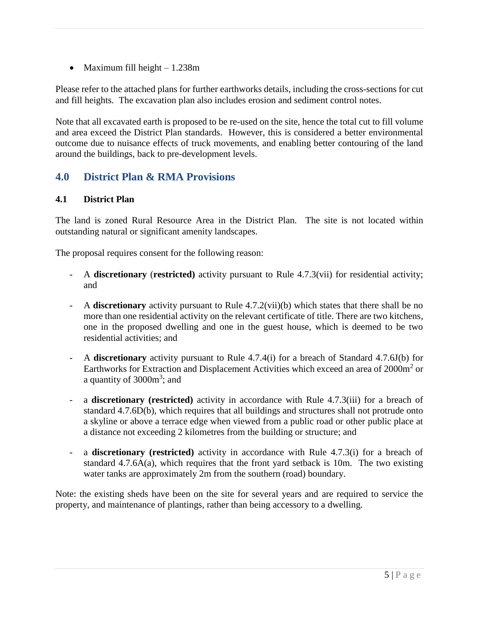Maximum fill height – 1.238m

Please refer to the attached plans for further earthworks details, including the cross-sections for cut and fill heights. The excavation plan also includes erosion and sediment control notes.

Note that all excavated earth is proposed to be re-used on the site, hence the total cut to fill volume and area exceed the District Plan standards. However, this is considered a better environmental outcome due to nuisance effects of truck movements, and enabling better contouring of the land around the buildings, back to pre-development levels.

# <span id="page-4-0"></span>**4.0 District Plan & RMA Provisions**

### **4.1 District Plan**

The land is zoned Rural Resource Area in the District Plan. The site is not located within outstanding natural or significant amenity landscapes.

The proposal requires consent for the following reason:

- A **discretionary** (**restricted)** activity pursuant to Rule 4.7.3(vii) for residential activity; and
- A **discretionary** activity pursuant to Rule 4.7.2(vii)(b) which states that there shall be no more than one residential activity on the relevant certificate of title. There are two kitchens, one in the proposed dwelling and one in the guest house, which is deemed to be two residential activities; and
- A **discretionary** activity pursuant to Rule 4.7.4(i) for a breach of Standard 4.7.6J(b) for Earthworks for Extraction and Displacement Activities which exceed an area of 2000m<sup>2</sup> or a quantity of 3000m<sup>3</sup>; and
- a **discretionary (restricted)** activity in accordance with Rule 4.7.3(iii) for a breach of standard 4.7.6D(b), which requires that all buildings and structures shall not protrude onto a skyline or above a terrace edge when viewed from a public road or other public place at a distance not exceeding 2 kilometres from the building or structure; and
- a **discretionary (restricted)** activity in accordance with Rule 4.7.3(i) for a breach of standard 4.7.6A(a), which requires that the front yard setback is 10m. The two existing water tanks are approximately 2m from the southern (road) boundary.

Note: the existing sheds have been on the site for several years and are required to service the property, and maintenance of plantings, rather than being accessory to a dwelling.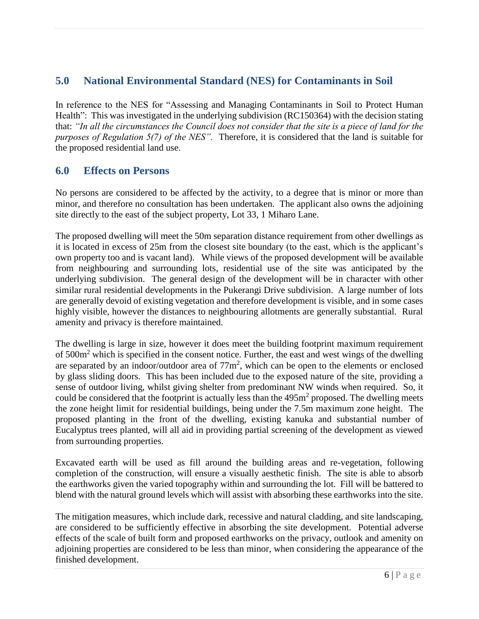# <span id="page-5-0"></span>**5.0 National Environmental Standard (NES) for Contaminants in Soil**

In reference to the NES for "Assessing and Managing Contaminants in Soil to Protect Human Health": This was investigated in the underlying subdivision (RC150364) with the decision stating that: *"In all the circumstances the Council does not consider that the site is a piece of land for the purposes of Regulation 5(7) of the NES".* Therefore, it is considered that the land is suitable for the proposed residential land use.

# <span id="page-5-1"></span>**6.0 Effects on Persons**

No persons are considered to be affected by the activity, to a degree that is minor or more than minor, and therefore no consultation has been undertaken. The applicant also owns the adjoining site directly to the east of the subject property, Lot 33, 1 Miharo Lane.

The proposed dwelling will meet the 50m separation distance requirement from other dwellings as it is located in excess of 25m from the closest site boundary (to the east, which is the applicant's own property too and is vacant land). While views of the proposed development will be available from neighbouring and surrounding lots, residential use of the site was anticipated by the underlying subdivision. The general design of the development will be in character with other similar rural residential developments in the Pukerangi Drive subdivision. A large number of lots are generally devoid of existing vegetation and therefore development is visible, and in some cases highly visible, however the distances to neighbouring allotments are generally substantial. Rural amenity and privacy is therefore maintained.

The dwelling is large in size, however it does meet the building footprint maximum requirement of 500m<sup>2</sup> which is specified in the consent notice. Further, the east and west wings of the dwelling are separated by an indoor/outdoor area of  $77m^2$ , which can be open to the elements or enclosed by glass sliding doors. This has been included due to the exposed nature of the site, providing a sense of outdoor living, whilst giving shelter from predominant NW winds when required. So, it could be considered that the footprint is actually less than the  $495m<sup>2</sup>$  proposed. The dwelling meets the zone height limit for residential buildings, being under the 7.5m maximum zone height. The proposed planting in the front of the dwelling, existing kanuka and substantial number of Eucalyptus trees planted, will all aid in providing partial screening of the development as viewed from surrounding properties.

Excavated earth will be used as fill around the building areas and re-vegetation, following completion of the construction, will ensure a visually aesthetic finish. The site is able to absorb the earthworks given the varied topography within and surrounding the lot. Fill will be battered to blend with the natural ground levels which will assist with absorbing these earthworks into the site.

The mitigation measures, which include dark, recessive and natural cladding, and site landscaping, are considered to be sufficiently effective in absorbing the site development. Potential adverse effects of the scale of built form and proposed earthworks on the privacy, outlook and amenity on adjoining properties are considered to be less than minor, when considering the appearance of the finished development.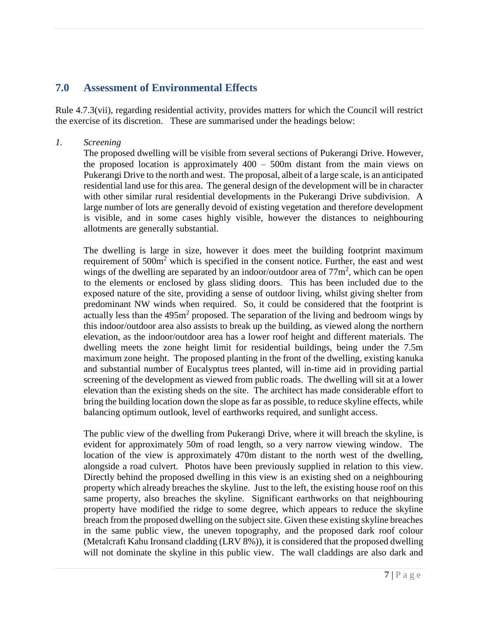# <span id="page-6-0"></span>**7.0 Assessment of Environmental Effects**

Rule 4.7.3(vii), regarding residential activity, provides matters for which the Council will restrict the exercise of its discretion. These are summarised under the headings below:

### *1. Screening*

The proposed dwelling will be visible from several sections of Pukerangi Drive. However, the proposed location is approximately 400 – 500m distant from the main views on Pukerangi Drive to the north and west. The proposal, albeit of a large scale, is an anticipated residential land use for this area. The general design of the development will be in character with other similar rural residential developments in the Pukerangi Drive subdivision. A large number of lots are generally devoid of existing vegetation and therefore development is visible, and in some cases highly visible, however the distances to neighbouring allotments are generally substantial.

The dwelling is large in size, however it does meet the building footprint maximum requirement of 500m<sup>2</sup> which is specified in the consent notice. Further, the east and west wings of the dwelling are separated by an indoor/outdoor area of  $77m^2$ , which can be open to the elements or enclosed by glass sliding doors. This has been included due to the exposed nature of the site, providing a sense of outdoor living, whilst giving shelter from predominant NW winds when required. So, it could be considered that the footprint is actually less than the  $495m^2$  proposed. The separation of the living and bedroom wings by this indoor/outdoor area also assists to break up the building, as viewed along the northern elevation, as the indoor/outdoor area has a lower roof height and different materials. The dwelling meets the zone height limit for residential buildings, being under the 7.5m maximum zone height. The proposed planting in the front of the dwelling, existing kanuka and substantial number of Eucalyptus trees planted, will in-time aid in providing partial screening of the development as viewed from public roads. The dwelling will sit at a lower elevation than the existing sheds on the site. The architect has made considerable effort to bring the building location down the slope as far as possible, to reduce skyline effects, while balancing optimum outlook, level of earthworks required, and sunlight access.

The public view of the dwelling from Pukerangi Drive, where it will breach the skyline, is evident for approximately 50m of road length, so a very narrow viewing window. The location of the view is approximately 470m distant to the north west of the dwelling, alongside a road culvert. Photos have been previously supplied in relation to this view. Directly behind the proposed dwelling in this view is an existing shed on a neighbouring property which already breaches the skyline. Just to the left, the existing house roof on this same property, also breaches the skyline. Significant earthworks on that neighbouring property have modified the ridge to some degree, which appears to reduce the skyline breach from the proposed dwelling on the subject site. Given these existing skyline breaches in the same public view, the uneven topography, and the proposed dark roof colour (Metalcraft Kahu Ironsand cladding (LRV 8%)), it is considered that the proposed dwelling will not dominate the skyline in this public view. The wall claddings are also dark and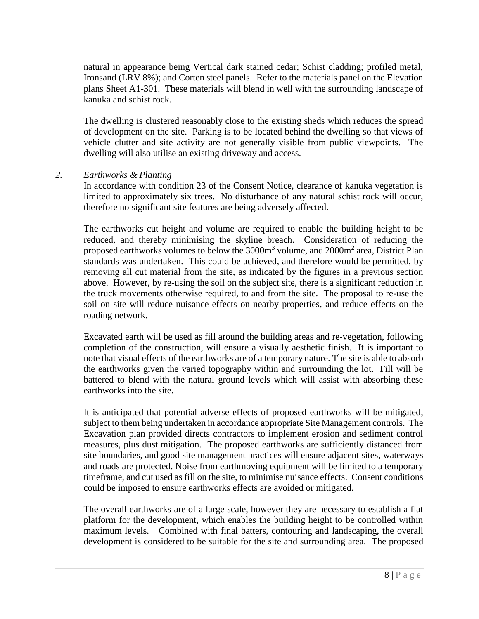natural in appearance being Vertical dark stained cedar; Schist cladding; profiled metal, Ironsand (LRV 8%); and Corten steel panels. Refer to the materials panel on the Elevation plans Sheet A1-301. These materials will blend in well with the surrounding landscape of kanuka and schist rock.

The dwelling is clustered reasonably close to the existing sheds which reduces the spread of development on the site. Parking is to be located behind the dwelling so that views of vehicle clutter and site activity are not generally visible from public viewpoints. The dwelling will also utilise an existing driveway and access.

### *2. Earthworks & Planting*

In accordance with condition 23 of the Consent Notice, clearance of kanuka vegetation is limited to approximately six trees. No disturbance of any natural schist rock will occur, therefore no significant site features are being adversely affected.

The earthworks cut height and volume are required to enable the building height to be reduced, and thereby minimising the skyline breach. Consideration of reducing the proposed earthworks volumes to below the 3000m<sup>3</sup> volume, and 2000m<sup>2</sup> area, District Plan standards was undertaken. This could be achieved, and therefore would be permitted, by removing all cut material from the site, as indicated by the figures in a previous section above. However, by re-using the soil on the subject site, there is a significant reduction in the truck movements otherwise required, to and from the site. The proposal to re-use the soil on site will reduce nuisance effects on nearby properties, and reduce effects on the roading network.

Excavated earth will be used as fill around the building areas and re-vegetation, following completion of the construction, will ensure a visually aesthetic finish. It is important to note that visual effects of the earthworks are of a temporary nature. The site is able to absorb the earthworks given the varied topography within and surrounding the lot. Fill will be battered to blend with the natural ground levels which will assist with absorbing these earthworks into the site.

It is anticipated that potential adverse effects of proposed earthworks will be mitigated, subject to them being undertaken in accordance appropriate Site Management controls. The Excavation plan provided directs contractors to implement erosion and sediment control measures, plus dust mitigation. The proposed earthworks are sufficiently distanced from site boundaries, and good site management practices will ensure adjacent sites, waterways and roads are protected. Noise from earthmoving equipment will be limited to a temporary timeframe, and cut used as fill on the site, to minimise nuisance effects. Consent conditions could be imposed to ensure earthworks effects are avoided or mitigated.

The overall earthworks are of a large scale, however they are necessary to establish a flat platform for the development, which enables the building height to be controlled within maximum levels. Combined with final batters, contouring and landscaping, the overall development is considered to be suitable for the site and surrounding area. The proposed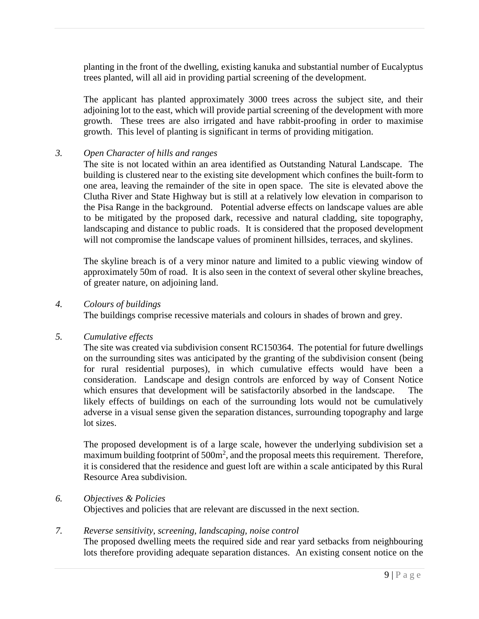planting in the front of the dwelling, existing kanuka and substantial number of Eucalyptus trees planted, will all aid in providing partial screening of the development.

The applicant has planted approximately 3000 trees across the subject site, and their adjoining lot to the east, which will provide partial screening of the development with more growth. These trees are also irrigated and have rabbit-proofing in order to maximise growth. This level of planting is significant in terms of providing mitigation.

### *3. Open Character of hills and ranges*

The site is not located within an area identified as Outstanding Natural Landscape. The building is clustered near to the existing site development which confines the built-form to one area, leaving the remainder of the site in open space. The site is elevated above the Clutha River and State Highway but is still at a relatively low elevation in comparison to the Pisa Range in the background. Potential adverse effects on landscape values are able to be mitigated by the proposed dark, recessive and natural cladding, site topography, landscaping and distance to public roads. It is considered that the proposed development will not compromise the landscape values of prominent hillsides, terraces, and skylines.

The skyline breach is of a very minor nature and limited to a public viewing window of approximately 50m of road. It is also seen in the context of several other skyline breaches, of greater nature, on adjoining land.

### *4. Colours of buildings*

The buildings comprise recessive materials and colours in shades of brown and grey.

### *5. Cumulative effects*

The site was created via subdivision consent RC150364. The potential for future dwellings on the surrounding sites was anticipated by the granting of the subdivision consent (being for rural residential purposes), in which cumulative effects would have been a consideration. Landscape and design controls are enforced by way of Consent Notice which ensures that development will be satisfactorily absorbed in the landscape. The likely effects of buildings on each of the surrounding lots would not be cumulatively adverse in a visual sense given the separation distances, surrounding topography and large lot sizes.

The proposed development is of a large scale, however the underlying subdivision set a maximum building footprint of  $500m^2$ , and the proposal meets this requirement. Therefore, it is considered that the residence and guest loft are within a scale anticipated by this Rural Resource Area subdivision.

### *6. Objectives & Policies*

Objectives and policies that are relevant are discussed in the next section.

### *7. Reverse sensitivity, screening, landscaping, noise control*

The proposed dwelling meets the required side and rear yard setbacks from neighbouring lots therefore providing adequate separation distances. An existing consent notice on the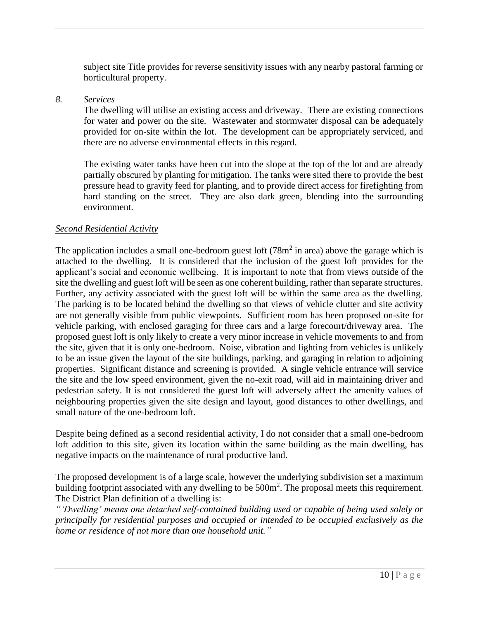subject site Title provides for reverse sensitivity issues with any nearby pastoral farming or horticultural property.

### *8. Services*

The dwelling will utilise an existing access and driveway. There are existing connections for water and power on the site. Wastewater and stormwater disposal can be adequately provided for on-site within the lot. The development can be appropriately serviced, and there are no adverse environmental effects in this regard.

The existing water tanks have been cut into the slope at the top of the lot and are already partially obscured by planting for mitigation. The tanks were sited there to provide the best pressure head to gravity feed for planting, and to provide direct access for firefighting from hard standing on the street. They are also dark green, blending into the surrounding environment.

### *Second Residential Activity*

The application includes a small one-bedroom guest loft  $(78m^2)$  in area) above the garage which is attached to the dwelling. It is considered that the inclusion of the guest loft provides for the applicant's social and economic wellbeing. It is important to note that from views outside of the site the dwelling and guest loft will be seen as one coherent building, rather than separate structures. Further, any activity associated with the guest loft will be within the same area as the dwelling. The parking is to be located behind the dwelling so that views of vehicle clutter and site activity are not generally visible from public viewpoints. Sufficient room has been proposed on-site for vehicle parking, with enclosed garaging for three cars and a large forecourt/driveway area. The proposed guest loft is only likely to create a very minor increase in vehicle movements to and from the site, given that it is only one-bedroom. Noise, vibration and lighting from vehicles is unlikely to be an issue given the layout of the site buildings, parking, and garaging in relation to adjoining properties. Significant distance and screening is provided. A single vehicle entrance will service the site and the low speed environment, given the no-exit road, will aid in maintaining driver and pedestrian safety. It is not considered the guest loft will adversely affect the amenity values of neighbouring properties given the site design and layout, good distances to other dwellings, and small nature of the one-bedroom loft.

Despite being defined as a second residential activity, I do not consider that a small one-bedroom loft addition to this site, given its location within the same building as the main dwelling, has negative impacts on the maintenance of rural productive land.

The proposed development is of a large scale, however the underlying subdivision set a maximum building footprint associated with any dwelling to be  $500m^2$ . The proposal meets this requirement. The District Plan definition of a dwelling is:

*"'Dwelling' means one detached self-contained building used or capable of being used solely or principally for residential purposes and occupied or intended to be occupied exclusively as the home or residence of not more than one household unit."*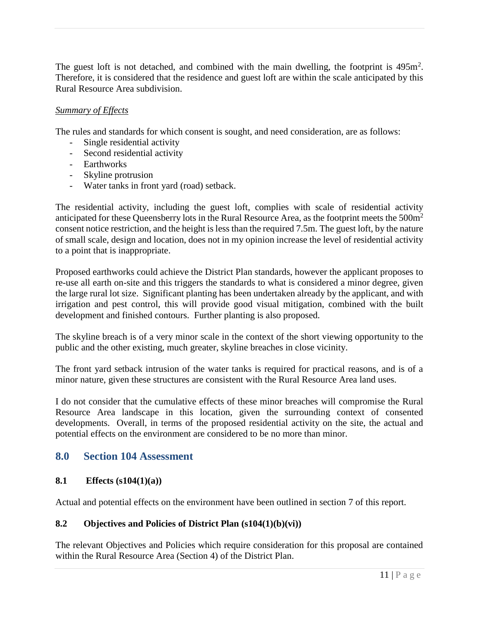The guest loft is not detached, and combined with the main dwelling, the footprint is  $495m^2$ . Therefore, it is considered that the residence and guest loft are within the scale anticipated by this Rural Resource Area subdivision.

### *Summary of Effects*

The rules and standards for which consent is sought, and need consideration, are as follows:

- Single residential activity
- Second residential activity
- Earthworks
- Skyline protrusion
- Water tanks in front yard (road) setback.

The residential activity, including the guest loft, complies with scale of residential activity anticipated for these Queensberry lots in the Rural Resource Area, as the footprint meets the 500m<sup>2</sup> consent notice restriction, and the height is less than the required 7.5m. The guest loft, by the nature of small scale, design and location, does not in my opinion increase the level of residential activity to a point that is inappropriate.

Proposed earthworks could achieve the District Plan standards, however the applicant proposes to re-use all earth on-site and this triggers the standards to what is considered a minor degree, given the large rural lot size. Significant planting has been undertaken already by the applicant, and with irrigation and pest control, this will provide good visual mitigation, combined with the built development and finished contours. Further planting is also proposed.

The skyline breach is of a very minor scale in the context of the short viewing opportunity to the public and the other existing, much greater, skyline breaches in close vicinity.

The front yard setback intrusion of the water tanks is required for practical reasons, and is of a minor nature, given these structures are consistent with the Rural Resource Area land uses.

I do not consider that the cumulative effects of these minor breaches will compromise the Rural Resource Area landscape in this location, given the surrounding context of consented developments. Overall, in terms of the proposed residential activity on the site, the actual and potential effects on the environment are considered to be no more than minor.

# <span id="page-10-0"></span>**8.0 Section 104 Assessment**

### <span id="page-10-1"></span>**8.1 Effects (s104(1)(a))**

Actual and potential effects on the environment have been outlined in section 7 of this report.

### <span id="page-10-2"></span>**8.2 Objectives and Policies of District Plan (s104(1)(b)(vi))**

The relevant Objectives and Policies which require consideration for this proposal are contained within the Rural Resource Area (Section 4) of the District Plan.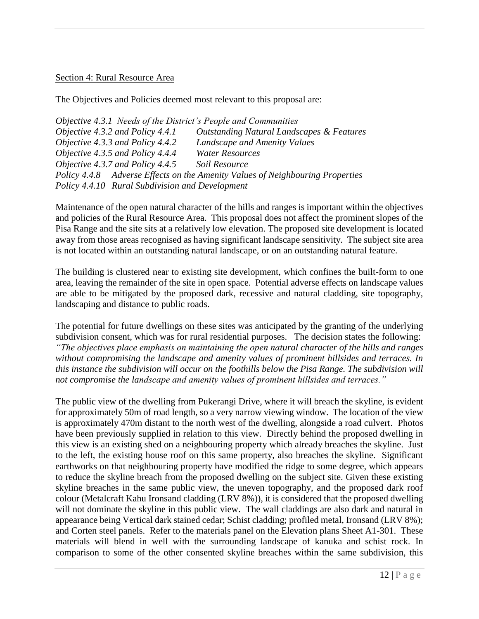### Section 4: Rural Resource Area

The Objectives and Policies deemed most relevant to this proposal are:

*Objective 4.3.1 Needs of the District's People and Communities Objective 4.3.2 and Policy 4.4.1 Outstanding Natural Landscapes & Features Objective 4.3.3 and Policy 4.4.2 Landscape and Amenity Values Objective 4.3.5 and Policy 4.4.4 Water Resources Objective 4.3.7 and Policy 4.4.5 Soil Resource Policy 4.4.8 Adverse Effects on the Amenity Values of Neighbouring Properties Policy 4.4.10 Rural Subdivision and Development*

Maintenance of the open natural character of the hills and ranges is important within the objectives and policies of the Rural Resource Area. This proposal does not affect the prominent slopes of the Pisa Range and the site sits at a relatively low elevation. The proposed site development is located away from those areas recognised as having significant landscape sensitivity. The subject site area is not located within an outstanding natural landscape, or on an outstanding natural feature.

The building is clustered near to existing site development, which confines the built-form to one area, leaving the remainder of the site in open space. Potential adverse effects on landscape values are able to be mitigated by the proposed dark, recessive and natural cladding, site topography, landscaping and distance to public roads.

The potential for future dwellings on these sites was anticipated by the granting of the underlying subdivision consent, which was for rural residential purposes. The decision states the following: *"The objectives place emphasis on maintaining the open natural character of the hills and ranges without compromising the landscape and amenity values of prominent hillsides and terraces. In this instance the subdivision will occur on the foothills below the Pisa Range. The subdivision will not compromise the landscape and amenity values of prominent hillsides and terraces."*

The public view of the dwelling from Pukerangi Drive, where it will breach the skyline, is evident for approximately 50m of road length, so a very narrow viewing window. The location of the view is approximately 470m distant to the north west of the dwelling, alongside a road culvert. Photos have been previously supplied in relation to this view. Directly behind the proposed dwelling in this view is an existing shed on a neighbouring property which already breaches the skyline. Just to the left, the existing house roof on this same property, also breaches the skyline. Significant earthworks on that neighbouring property have modified the ridge to some degree, which appears to reduce the skyline breach from the proposed dwelling on the subject site. Given these existing skyline breaches in the same public view, the uneven topography, and the proposed dark roof colour (Metalcraft Kahu Ironsand cladding (LRV 8%)), it is considered that the proposed dwelling will not dominate the skyline in this public view. The wall claddings are also dark and natural in appearance being Vertical dark stained cedar; Schist cladding; profiled metal, Ironsand (LRV 8%); and Corten steel panels. Refer to the materials panel on the Elevation plans Sheet A1-301. These materials will blend in well with the surrounding landscape of kanuka and schist rock. In comparison to some of the other consented skyline breaches within the same subdivision, this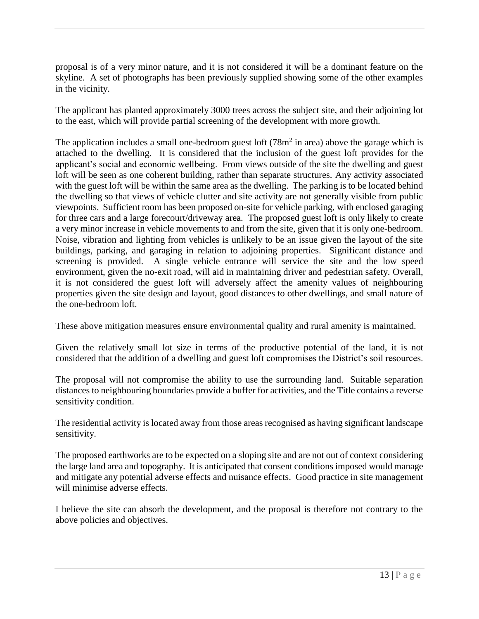proposal is of a very minor nature, and it is not considered it will be a dominant feature on the skyline. A set of photographs has been previously supplied showing some of the other examples in the vicinity.

The applicant has planted approximately 3000 trees across the subject site, and their adjoining lot to the east, which will provide partial screening of the development with more growth.

The application includes a small one-bedroom guest loft  $(78m^2)$  in area) above the garage which is attached to the dwelling. It is considered that the inclusion of the guest loft provides for the applicant's social and economic wellbeing. From views outside of the site the dwelling and guest loft will be seen as one coherent building, rather than separate structures. Any activity associated with the guest loft will be within the same area as the dwelling. The parking is to be located behind the dwelling so that views of vehicle clutter and site activity are not generally visible from public viewpoints. Sufficient room has been proposed on-site for vehicle parking, with enclosed garaging for three cars and a large forecourt/driveway area. The proposed guest loft is only likely to create a very minor increase in vehicle movements to and from the site, given that it is only one-bedroom. Noise, vibration and lighting from vehicles is unlikely to be an issue given the layout of the site buildings, parking, and garaging in relation to adjoining properties. Significant distance and screening is provided. A single vehicle entrance will service the site and the low speed environment, given the no-exit road, will aid in maintaining driver and pedestrian safety. Overall, it is not considered the guest loft will adversely affect the amenity values of neighbouring properties given the site design and layout, good distances to other dwellings, and small nature of the one-bedroom loft.

These above mitigation measures ensure environmental quality and rural amenity is maintained.

Given the relatively small lot size in terms of the productive potential of the land, it is not considered that the addition of a dwelling and guest loft compromises the District's soil resources.

The proposal will not compromise the ability to use the surrounding land. Suitable separation distances to neighbouring boundaries provide a buffer for activities, and the Title contains a reverse sensitivity condition.

The residential activity is located away from those areas recognised as having significant landscape sensitivity.

The proposed earthworks are to be expected on a sloping site and are not out of context considering the large land area and topography. It is anticipated that consent conditions imposed would manage and mitigate any potential adverse effects and nuisance effects. Good practice in site management will minimise adverse effects.

I believe the site can absorb the development, and the proposal is therefore not contrary to the above policies and objectives.